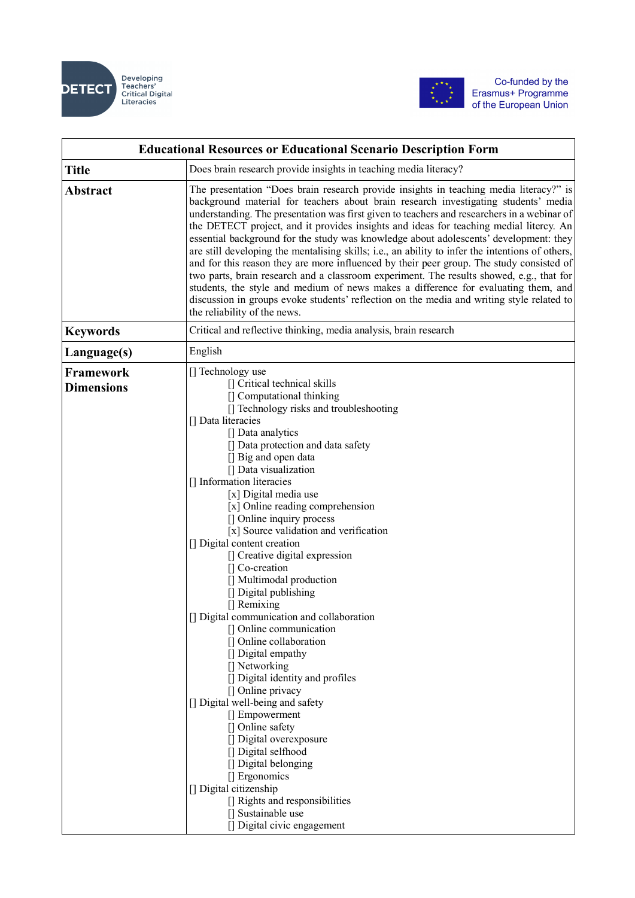



| <b>Educational Resources or Educational Scenario Description Form</b> |                                                                                                                                                                                                                                                                                                                                                                                                                                                                                                                                                                                                                                                                                                                                                                                                                                                                                                                                                                                                                                                                               |
|-----------------------------------------------------------------------|-------------------------------------------------------------------------------------------------------------------------------------------------------------------------------------------------------------------------------------------------------------------------------------------------------------------------------------------------------------------------------------------------------------------------------------------------------------------------------------------------------------------------------------------------------------------------------------------------------------------------------------------------------------------------------------------------------------------------------------------------------------------------------------------------------------------------------------------------------------------------------------------------------------------------------------------------------------------------------------------------------------------------------------------------------------------------------|
| <b>Title</b>                                                          | Does brain research provide insights in teaching media literacy?                                                                                                                                                                                                                                                                                                                                                                                                                                                                                                                                                                                                                                                                                                                                                                                                                                                                                                                                                                                                              |
| <b>Abstract</b>                                                       | The presentation "Does brain research provide insights in teaching media literacy?" is<br>background material for teachers about brain research investigating students' media<br>understanding. The presentation was first given to teachers and researchers in a webinar of<br>the DETECT project, and it provides insights and ideas for teaching medial litercy. An<br>essential background for the study was knowledge about adolescents' development: they<br>are still developing the mentalising skills; i.e., an ability to infer the intentions of others,<br>and for this reason they are more influenced by their peer group. The study consisted of<br>two parts, brain research and a classroom experiment. The results showed, e.g., that for<br>students, the style and medium of news makes a difference for evaluating them, and<br>discussion in groups evoke students' reflection on the media and writing style related to<br>the reliability of the news.                                                                                                |
| <b>Keywords</b>                                                       | Critical and reflective thinking, media analysis, brain research                                                                                                                                                                                                                                                                                                                                                                                                                                                                                                                                                                                                                                                                                                                                                                                                                                                                                                                                                                                                              |
| Language(s)                                                           | English                                                                                                                                                                                                                                                                                                                                                                                                                                                                                                                                                                                                                                                                                                                                                                                                                                                                                                                                                                                                                                                                       |
| <b>Framework</b><br><b>Dimensions</b>                                 | [] Technology use<br>[] Critical technical skills<br>[] Computational thinking<br>[] Technology risks and troubleshooting<br>[] Data literacies<br>[] Data analytics<br>[] Data protection and data safety<br>[] Big and open data<br>[] Data visualization<br>[] Information literacies<br>[x] Digital media use<br>[x] Online reading comprehension<br>[] Online inquiry process<br>[x] Source validation and verification<br>[] Digital content creation<br>[] Creative digital expression<br>[] Co-creation<br>[] Multimodal production<br>[] Digital publishing<br>[] Remixing<br>[] Digital communication and collaboration<br>[] Online communication<br>[] Online collaboration<br>[] Digital empathy<br>[] Networking<br>[] Digital identity and profiles<br>[] Online privacy<br>[] Digital well-being and safety<br>[] Empowerment<br>[] Online safety<br>[] Digital overexposure<br>[] Digital selfhood<br>[] Digital belonging<br>[] Ergonomics<br>[] Digital citizenship<br>[] Rights and responsibilities<br>[] Sustainable use<br>[] Digital civic engagement |